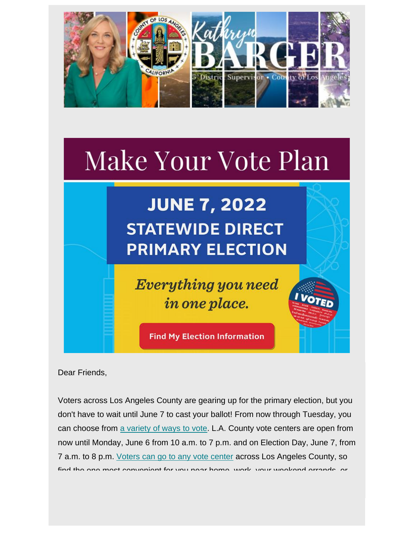

# Make Your Vote Plan

## **JUNE 7, 2022 STATEWIDE DIRECT PRIMARY ELECTION**

**Everything you need** in one place.

I VOTE

**Find My Election Information** 

Dear Friends,

Voters across Los Angeles County are gearing up for the primary election, but you don't have to wait until June 7 to cast your ballot! From now through Tuesday, you can choose from [a variety of ways](https://nam12.safelinks.protection.outlook.com/?url=https%3A%2F%2Flacounty.us14.list-manage.com%2Ftrack%2Fclick%3Fu%3Def8e8b8968f5705ee8ccb57cb%26id%3D21e3388348%26e%3De5d1ebaac0&data=05%7C01%7C%7C0397bc085be645768abb08da468d772c%7C84df9e7fe9f640afb435aaaaaaaaaaaa%7C1%7C0%7C637899870653851545%7CUnknown%7CTWFpbGZsb3d8eyJWIjoiMC4wLjAwMDAiLCJQIjoiV2luMzIiLCJBTiI6Ik1haWwiLCJXVCI6Mn0%3D%7C3000%7C%7C%7C&sdata=r3SmdRFQYd6Q7C%2FzL5mxXsNzDslDc2i8KLl09K4jdj8%3D&reserved=0) [to vote.](https://nam12.safelinks.protection.outlook.com/?url=https%3A%2F%2Flacounty.us14.list-manage.com%2Ftrack%2Fclick%3Fu%3Def8e8b8968f5705ee8ccb57cb%26id%3Dae94d1e951%26e%3De5d1ebaac0&data=05%7C01%7C%7C0397bc085be645768abb08da468d772c%7C84df9e7fe9f640afb435aaaaaaaaaaaa%7C1%7C0%7C637899870653851545%7CUnknown%7CTWFpbGZsb3d8eyJWIjoiMC4wLjAwMDAiLCJQIjoiV2luMzIiLCJBTiI6Ik1haWwiLCJXVCI6Mn0%3D%7C3000%7C%7C%7C&sdata=EDdq3dF17sBCtYCEBq00fqVh9FpPgtVHCjvFYWsjEhg%3D&reserved=0) L.A. County vote centers are open from now until Monday, June 6 from 10 a.m. to 7 p.m. and on Election Day, June 7, from 7 a.m. to 8 p.m. [Voters can go to any vote center](https://nam12.safelinks.protection.outlook.com/?url=https%3A%2F%2Flacounty.us14.list-manage.com%2Ftrack%2Fclick%3Fu%3Def8e8b8968f5705ee8ccb57cb%26id%3D696d9fcd61%26e%3De5d1ebaac0&data=05%7C01%7C%7C0397bc085be645768abb08da468d772c%7C84df9e7fe9f640afb435aaaaaaaaaaaa%7C1%7C0%7C637899870653851545%7CUnknown%7CTWFpbGZsb3d8eyJWIjoiMC4wLjAwMDAiLCJQIjoiV2luMzIiLCJBTiI6Ik1haWwiLCJXVCI6Mn0%3D%7C3000%7C%7C%7C&sdata=kur26KhIYgtCDGrqXvxzQyyNLVtt8NWvI2wwNaSd07s%3D&reserved=0) across Los Angeles County, so find the one most convenient for you near home, work, your weekend errands, or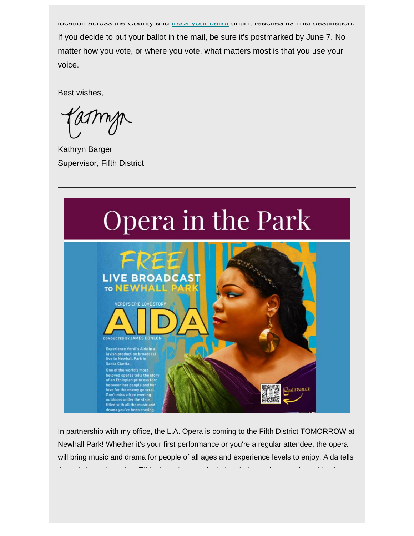location across the County and [track your ballot](https://nam12.safelinks.protection.outlook.com/?url=https%3A%2F%2Flacounty.us14.list-manage.com%2Ftrack%2Fclick%3Fu%3Def8e8b8968f5705ee8ccb57cb%26id%3Da066aada00%26e%3De5d1ebaac0&data=05%7C01%7C%7C0397bc085be645768abb08da468d772c%7C84df9e7fe9f640afb435aaaaaaaaaaaa%7C1%7C0%7C637899870653851545%7CUnknown%7CTWFpbGZsb3d8eyJWIjoiMC4wLjAwMDAiLCJQIjoiV2luMzIiLCJBTiI6Ik1haWwiLCJXVCI6Mn0%3D%7C3000%7C%7C%7C&sdata=CuopKbWJtyOy0%2Bq7KtZUtWKaPuMv5Rb5qCA%2BDTI5x0o%3D&reserved=0) until it reaches its final destination. If you decide to put your ballot in the mail, be sure it's postmarked by June 7. No matter how you vote, or where you vote, what matters most is that you use your voice.

Best wishes,

Kathryn Barger Supervisor, Fifth District



In partnership with my office, the L.A. Opera is coming to the Fifth District TOMORROW at Newhall Park! Whether it's your first performance or you're a regular attendee, the opera will bring music and drama for people of all ages and experience levels to enjoy. Aida tells the epic love story of an Ethiopian princess who is torn between her people and her love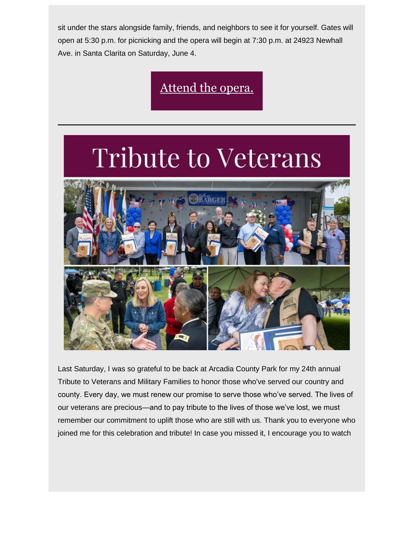sit under the stars alongside family, friends, and neighbors to see it for yourself. Gates will open at 5:30 p.m. for picnicking and the opera will begin at 7:30 p.m. at 24923 Newhall Ave. in Santa Clarita on Saturday, June 4.

[Attend the opera.](https://nam12.safelinks.protection.outlook.com/?url=https%3A%2F%2Flacounty.us14.list-manage.com%2Ftrack%2Fclick%3Fu%3Def8e8b8968f5705ee8ccb57cb%26id%3De31a2552a5%26e%3De5d1ebaac0&data=05%7C01%7C%7C0397bc085be645768abb08da468d772c%7C84df9e7fe9f640afb435aaaaaaaaaaaa%7C1%7C0%7C637899870653851545%7CUnknown%7CTWFpbGZsb3d8eyJWIjoiMC4wLjAwMDAiLCJQIjoiV2luMzIiLCJBTiI6Ik1haWwiLCJXVCI6Mn0%3D%7C3000%7C%7C%7C&sdata=Rux2Yi%2FX6LILPNUhGgf3fPIqDzcTP94hl1IxDMGphsM%3D&reserved=0)

## **Tribute to Veterans**



Last Saturday, I was so grateful to be back at Arcadia County Park for my 24th annual Tribute to Veterans and Military Families to honor those who've served our country and county. Every day, we must renew our promise to serve those who've served. The lives of our veterans are precious—and to pay tribute to the lives of those we've lost, we must remember our commitment to uplift those who are still with us. Thank you to everyone who joined me for this celebration and tribute! In case you missed it, I encourage you to watch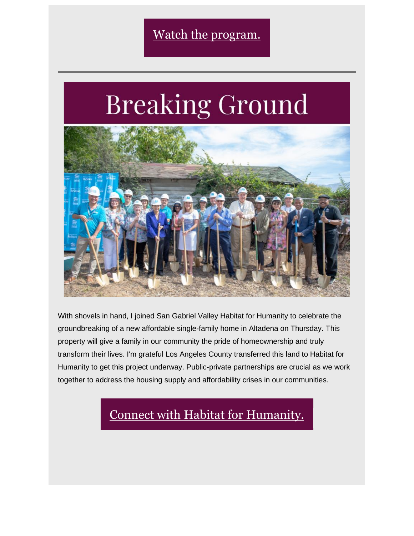# **Breaking Ground**



With shovels in hand, I joined San Gabriel Valley Habitat for Humanity to celebrate the groundbreaking of a new affordable single-family home in Altadena on Thursday. This property will give a family in our community the pride of homeownership and truly transform their lives. I'm grateful Los Angeles County transferred this land to Habitat for Humanity to get this project underway. Public-private partnerships are crucial as we work together to address the housing supply and affordability crises in our communities.

### [Connect with Habitat for Humanity.](https://nam12.safelinks.protection.outlook.com/?url=https%3A%2F%2Flacounty.us14.list-manage.com%2Ftrack%2Fclick%3Fu%3Def8e8b8968f5705ee8ccb57cb%26id%3De66a354c2f%26e%3De5d1ebaac0&data=05%7C01%7C%7C0397bc085be645768abb08da468d772c%7C84df9e7fe9f640afb435aaaaaaaaaaaa%7C1%7C0%7C637899870653851545%7CUnknown%7CTWFpbGZsb3d8eyJWIjoiMC4wLjAwMDAiLCJQIjoiV2luMzIiLCJBTiI6Ik1haWwiLCJXVCI6Mn0%3D%7C3000%7C%7C%7C&sdata=e%2BzP%2FQUPabyIvFYF2SZaF8dr%2BsneCf7mvpv0c7k85f0%3D&reserved=0)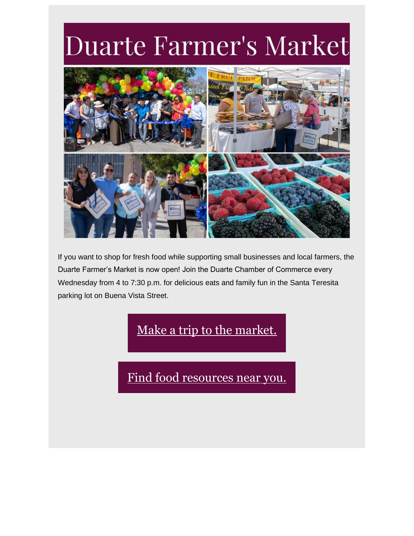## Duarte Farmer's Market



If you want to shop for fresh food while supporting small businesses and local farmers, the Duarte Farmer's Market is now open! Join the Duarte Chamber of Commerce every Wednesday from 4 to 7:30 p.m. for delicious eats and family fun in the Santa Teresita parking lot on Buena Vista Street.

### [Make a trip to the market.](https://nam12.safelinks.protection.outlook.com/?url=https%3A%2F%2Flacounty.us14.list-manage.com%2Ftrack%2Fclick%3Fu%3Def8e8b8968f5705ee8ccb57cb%26id%3D4aeea81f49%26e%3De5d1ebaac0&data=05%7C01%7C%7C0397bc085be645768abb08da468d772c%7C84df9e7fe9f640afb435aaaaaaaaaaaa%7C1%7C0%7C637899870653851545%7CUnknown%7CTWFpbGZsb3d8eyJWIjoiMC4wLjAwMDAiLCJQIjoiV2luMzIiLCJBTiI6Ik1haWwiLCJXVCI6Mn0%3D%7C3000%7C%7C%7C&sdata=Mt1fi69tHvHT0z8voEi31Dq6pmalUev3XaFyFWCfzeQ%3D&reserved=0)

[Find food resources near you.](https://nam12.safelinks.protection.outlook.com/?url=https%3A%2F%2Flacounty.us14.list-manage.com%2Ftrack%2Fclick%3Fu%3Def8e8b8968f5705ee8ccb57cb%26id%3D2f2b28a32d%26e%3De5d1ebaac0&data=05%7C01%7C%7C0397bc085be645768abb08da468d772c%7C84df9e7fe9f640afb435aaaaaaaaaaaa%7C1%7C0%7C637899870653851545%7CUnknown%7CTWFpbGZsb3d8eyJWIjoiMC4wLjAwMDAiLCJQIjoiV2luMzIiLCJBTiI6Ik1haWwiLCJXVCI6Mn0%3D%7C3000%7C%7C%7C&sdata=moDTn5hCnJho2rZnmFCeh%2BRxVPzVRxqrPrzM%2Bk54w3g%3D&reserved=0)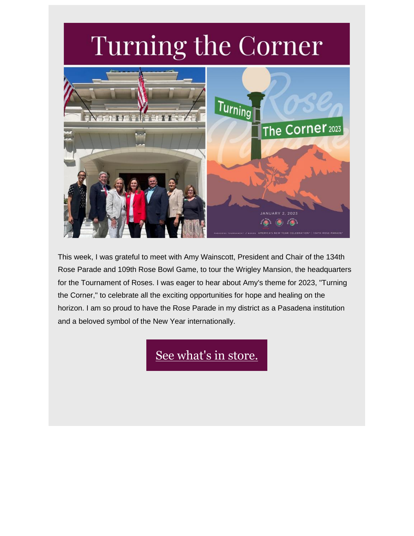## Turning the Corner



This week, I was grateful to meet with Amy Wainscott, President and Chair of the 134th Rose Parade and 109th Rose Bowl Game, to tour the Wrigley Mansion, the headquarters for the Tournament of Roses. I was eager to hear about Amy's theme for 2023, "Turning the Corner," to celebrate all the exciting opportunities for hope and healing on the horizon. I am so proud to have the Rose Parade in my district as a Pasadena institution and a beloved symbol of the New Year internationally.

[See what's in store.](https://nam12.safelinks.protection.outlook.com/?url=https%3A%2F%2Flacounty.us14.list-manage.com%2Ftrack%2Fclick%3Fu%3Def8e8b8968f5705ee8ccb57cb%26id%3Daaef6e81b8%26e%3De5d1ebaac0&data=05%7C01%7C%7C0397bc085be645768abb08da468d772c%7C84df9e7fe9f640afb435aaaaaaaaaaaa%7C1%7C0%7C637899870653851545%7CUnknown%7CTWFpbGZsb3d8eyJWIjoiMC4wLjAwMDAiLCJQIjoiV2luMzIiLCJBTiI6Ik1haWwiLCJXVCI6Mn0%3D%7C3000%7C%7C%7C&sdata=doj50143up8DnYeEv82HlWI0fiPvnNUQMteiEGeO8Xk%3D&reserved=0)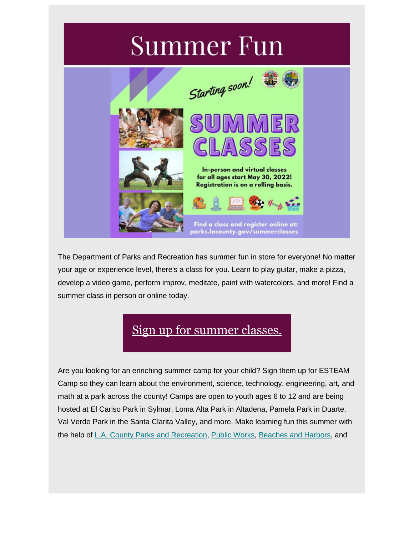## **Summer Fun**



The Department of Parks and Recreation has summer fun in store for everyone! No matter your age or experience level, there's a class for you. Learn to play guitar, make a pizza, develop a video game, perform improv, meditate, paint with watercolors, and more! Find a summer class in person or online today.

### [Sign up for summer classes.](https://nam12.safelinks.protection.outlook.com/?url=https%3A%2F%2Flacounty.us14.list-manage.com%2Ftrack%2Fclick%3Fu%3Def8e8b8968f5705ee8ccb57cb%26id%3D72fe06753d%26e%3De5d1ebaac0&data=05%7C01%7C%7C0397bc085be645768abb08da468d772c%7C84df9e7fe9f640afb435aaaaaaaaaaaa%7C1%7C0%7C637899870653851545%7CUnknown%7CTWFpbGZsb3d8eyJWIjoiMC4wLjAwMDAiLCJQIjoiV2luMzIiLCJBTiI6Ik1haWwiLCJXVCI6Mn0%3D%7C3000%7C%7C%7C&sdata=2BajS5Ou5lG%2FKeK6%2F8ApxgUHZGYXzgYd27uawT8nM10%3D&reserved=0)

Are you looking for an enriching summer camp for your child? Sign them up for ESTEAM Camp so they can learn about the environment, science, technology, engineering, art, and math at a park across the county! Camps are open to youth ages 6 to 12 and are being hosted at El Cariso Park in Sylmar, Loma Alta Park in Altadena, Pamela Park in Duarte, Val Verde Park in the Santa Clarita Valley, and more. Make learning fun this summer with the help of [L.A. County Parks and Recreation,](https://nam12.safelinks.protection.outlook.com/?url=https%3A%2F%2Flacounty.us14.list-manage.com%2Ftrack%2Fclick%3Fu%3Def8e8b8968f5705ee8ccb57cb%26id%3D5d8d3a0d7d%26e%3De5d1ebaac0&data=05%7C01%7C%7C0397bc085be645768abb08da468d772c%7C84df9e7fe9f640afb435aaaaaaaaaaaa%7C1%7C0%7C637899870653851545%7CUnknown%7CTWFpbGZsb3d8eyJWIjoiMC4wLjAwMDAiLCJQIjoiV2luMzIiLCJBTiI6Ik1haWwiLCJXVCI6Mn0%3D%7C3000%7C%7C%7C&sdata=YQ2GBuWvjmo2qEIIyBcg5xtsY7IqJRF685uiqPh5poc%3D&reserved=0) [Public Works,](https://nam12.safelinks.protection.outlook.com/?url=https%3A%2F%2Flacounty.us14.list-manage.com%2Ftrack%2Fclick%3Fu%3Def8e8b8968f5705ee8ccb57cb%26id%3Ded3fe7447f%26e%3De5d1ebaac0&data=05%7C01%7C%7C0397bc085be645768abb08da468d772c%7C84df9e7fe9f640afb435aaaaaaaaaaaa%7C1%7C0%7C637899870653851545%7CUnknown%7CTWFpbGZsb3d8eyJWIjoiMC4wLjAwMDAiLCJQIjoiV2luMzIiLCJBTiI6Ik1haWwiLCJXVCI6Mn0%3D%7C3000%7C%7C%7C&sdata=mLD5IbO8fOjCwtlw7LnblUjVSYf%2B1xWq9xqRYnl9yZ8%3D&reserved=0) [Beaches and Harbors,](https://nam12.safelinks.protection.outlook.com/?url=https%3A%2F%2Flacounty.us14.list-manage.com%2Ftrack%2Fclick%3Fu%3Def8e8b8968f5705ee8ccb57cb%26id%3Db25c011b2b%26e%3De5d1ebaac0&data=05%7C01%7C%7C0397bc085be645768abb08da468d772c%7C84df9e7fe9f640afb435aaaaaaaaaaaa%7C1%7C0%7C637899870653851545%7CUnknown%7CTWFpbGZsb3d8eyJWIjoiMC4wLjAwMDAiLCJQIjoiV2luMzIiLCJBTiI6Ik1haWwiLCJXVCI6Mn0%3D%7C3000%7C%7C%7C&sdata=G4%2FsIkVeOTFiHUG4DEZ8ULahmqarBQ6JI8PMT3Tl6gk%3D&reserved=0) and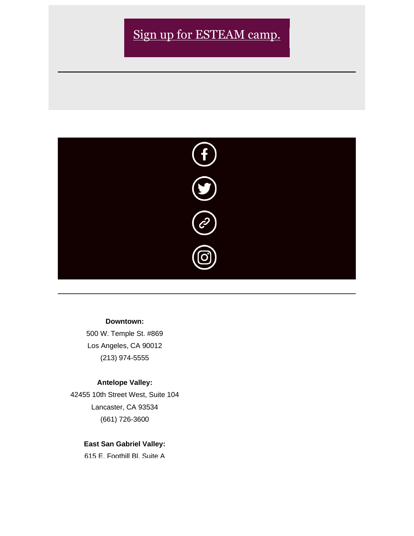### [Sign up for ESTEAM camp.](https://nam12.safelinks.protection.outlook.com/?url=https%3A%2F%2Flacounty.us14.list-manage.com%2Ftrack%2Fclick%3Fu%3Def8e8b8968f5705ee8ccb57cb%26id%3Da66fa3987f%26e%3De5d1ebaac0&data=05%7C01%7C%7C0397bc085be645768abb08da468d772c%7C84df9e7fe9f640afb435aaaaaaaaaaaa%7C1%7C0%7C637899870653851545%7CUnknown%7CTWFpbGZsb3d8eyJWIjoiMC4wLjAwMDAiLCJQIjoiV2luMzIiLCJBTiI6Ik1haWwiLCJXVCI6Mn0%3D%7C3000%7C%7C%7C&sdata=Q1JWUQDFvJtBntzx7pEa6mjM4j4x6FT7dgBKVge7Unw%3D&reserved=0)



#### **Downtown:**

500 W. Temple St. #869 Los Angeles, CA 90012 (213) 974-5555

#### **Antelope Valley:**

42455 10th Street West, Suite 104 Lancaster, CA 93534 (661) 726-3600

#### **East San Gabriel Valley:**

615 E. Foothill Bl. Suite A